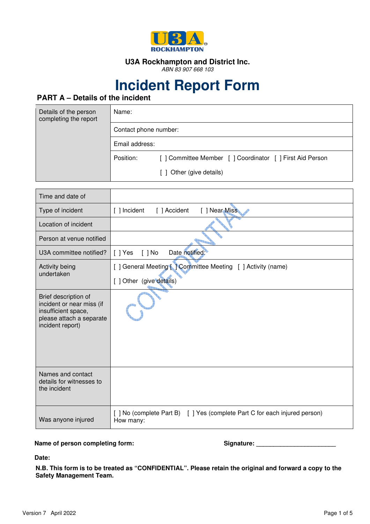

#### **U3A Rockhampton and District Inc.**

ABN 83 907 668 103

# **Incident Report Form**

## **PART A – Details of the incident**

| Details of the person<br>completing the report | Name:                 |                                                        |
|------------------------------------------------|-----------------------|--------------------------------------------------------|
|                                                | Contact phone number: |                                                        |
|                                                | Email address:        |                                                        |
|                                                | Position:             | [] Committee Member [] Coordinator [] First Aid Person |
|                                                |                       | [ ] Other (give details)                               |

| Time and date of                                                                                                         |                                                                                         |
|--------------------------------------------------------------------------------------------------------------------------|-----------------------------------------------------------------------------------------|
| Type of incident                                                                                                         | [ ] Near Miss<br>[ ] Incident<br>[ ] Accident                                           |
| Location of incident                                                                                                     |                                                                                         |
| Person at venue notified                                                                                                 |                                                                                         |
| U3A committee notified?                                                                                                  | Date notified:<br>[ ] Yes<br>$\lceil$ $\rceil$ No                                       |
| Activity being<br>undertaken                                                                                             | [ ] General Meeting [ ] Committee Meeting [ ] Activity (name)                           |
|                                                                                                                          | [ ] Other (give details)                                                                |
| Brief description of<br>incident or near miss (if<br>insufficient space,<br>please attach a separate<br>incident report) |                                                                                         |
| Names and contact<br>details for witnesses to<br>the incident                                                            |                                                                                         |
| Was anyone injured                                                                                                       | [ ] No (complete Part B) [ ] Yes (complete Part C for each injured person)<br>How many: |

#### Name of person completing form: Name of person completing form: Signature: Name of person completing form:

**Date:**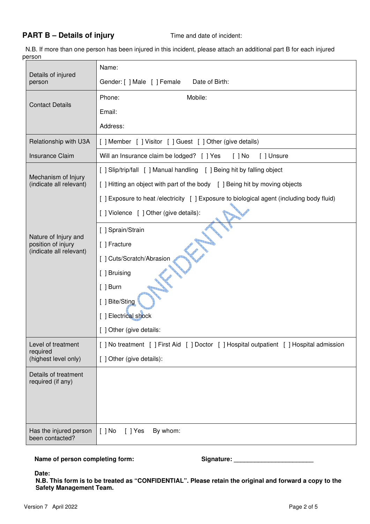#### **PART B – Details of injury** Time and date of incident:

 N.B. If more than one person has been injured in this incident, please attach an additional part B for each injured person

| Details of injured<br>person                           | Name:                                                                                     |
|--------------------------------------------------------|-------------------------------------------------------------------------------------------|
|                                                        | Gender: [ ] Male [ ] Female<br>Date of Birth:                                             |
|                                                        | Mobile:<br>Phone:                                                                         |
| <b>Contact Details</b>                                 | Email:                                                                                    |
|                                                        | Address:                                                                                  |
| Relationship with U3A                                  | [] Member [] Visitor [] Guest [] Other (give details)                                     |
| <b>Insurance Claim</b>                                 | Will an Insurance claim be lodged? [ ] Yes<br>$[$ $]$ No<br>[ ] Unsure                    |
|                                                        | [ ] Slip/trip/fall [ ] Manual handling [ ] Being hit by falling object                    |
| Mechanism of Injury<br>(indicate all relevant)         | [ ] Hitting an object with part of the body [ ] Being hit by moving objects               |
|                                                        | [ ] Exposure to heat /electricity [ ] Exposure to biological agent (including body fluid) |
|                                                        | [ ] Violence [ ] Other (give details):                                                    |
|                                                        | [ ] Sprain/Strain                                                                         |
| Nature of Injury and<br>position of injury             | [ ] Fracture                                                                              |
| (indicate all relevant)                                | [ ] Cuts/Scratch/Abrasion                                                                 |
|                                                        | [ ] Bruising                                                                              |
|                                                        | $[$ ] Burn                                                                                |
|                                                        | [ ] Bite/Sting                                                                            |
|                                                        | [] Electrical shock                                                                       |
|                                                        | [ ] Other (give details:                                                                  |
| Level of treatment<br>required<br>(highest level only) | [] No treatment [] First Aid [] Doctor [] Hospital outpatient [] Hospital admission       |
|                                                        | [ ] Other (give details):                                                                 |
| Details of treatment<br>required (if any)              |                                                                                           |
|                                                        |                                                                                           |
|                                                        |                                                                                           |
|                                                        |                                                                                           |
| Has the injured person<br>been contacted?              | $[ ]$ No<br>$[$ ] Yes<br>By whom:                                                         |

Name of person completing form: Signature: Signature:

**Date:**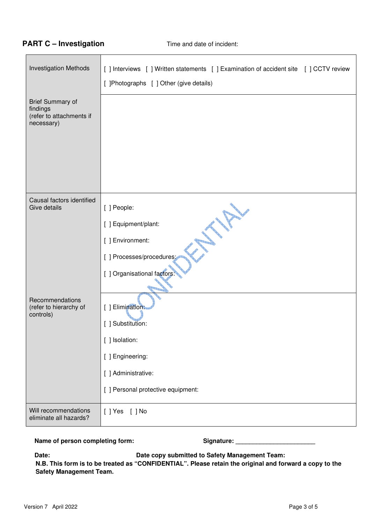#### **PART C – Investigation Time and date of incident:**

| <b>Investigation Methods</b>                                                  | [ ] Interviews [ ] Written statements [ ] Examination of accident site [ ] CCTV review |
|-------------------------------------------------------------------------------|----------------------------------------------------------------------------------------|
|                                                                               | [ ]Photographs [ ] Other (give details)                                                |
|                                                                               |                                                                                        |
| <b>Brief Summary of</b><br>findings<br>(refer to attachments if<br>necessary) |                                                                                        |
|                                                                               |                                                                                        |
|                                                                               |                                                                                        |
|                                                                               |                                                                                        |
|                                                                               |                                                                                        |
| Causal factors identified<br>Give details                                     | [ ] People:                                                                            |
|                                                                               | [ ] Equipment/plant:                                                                   |
|                                                                               | [ ] Environment:                                                                       |
|                                                                               | [ ] Processes/procedures;                                                              |
|                                                                               | [ ] Organisational factors:                                                            |
|                                                                               |                                                                                        |
| Recommendations<br>(refer to hierarchy of                                     | [ ] Elimination:                                                                       |
| controls)                                                                     | [ ] Substitution:                                                                      |
|                                                                               | [ ] Isolation:                                                                         |
|                                                                               | [ ] Engineering:                                                                       |
|                                                                               | [ ] Administrative:                                                                    |
|                                                                               | [ ] Personal protective equipment:                                                     |
| Will recommendations<br>eliminate all hazards?                                | [] Yes [] No                                                                           |

Name of person completing form: Signature: Camera and Signature:

**Date: Date copy submitted to Safety Management Team:**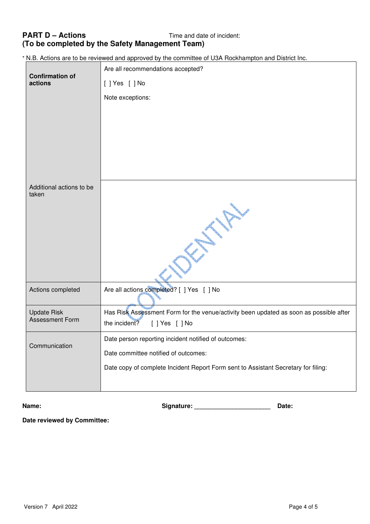### **PART D – Actions Time and date of incident: (To be completed by the Safety Management Team)**

\* N.B. Actions are to be reviewed and approved by the committee of U3A Rockhampton and District Inc.

| <b>Confirmation of</b><br>actions            | Are all recommendations accepted?                                                                                         |
|----------------------------------------------|---------------------------------------------------------------------------------------------------------------------------|
|                                              | [ ] Yes [ ] No                                                                                                            |
|                                              | Note exceptions:                                                                                                          |
|                                              |                                                                                                                           |
|                                              |                                                                                                                           |
|                                              |                                                                                                                           |
|                                              |                                                                                                                           |
|                                              |                                                                                                                           |
| Additional actions to be<br>taken            |                                                                                                                           |
|                                              |                                                                                                                           |
|                                              |                                                                                                                           |
|                                              |                                                                                                                           |
|                                              |                                                                                                                           |
|                                              |                                                                                                                           |
|                                              |                                                                                                                           |
| Actions completed                            | Are all actions completed? [ ] Yes [ ] No                                                                                 |
|                                              |                                                                                                                           |
| <b>Update Risk</b><br><b>Assessment Form</b> | Has Risk Assessment Form for the venue/activity been updated as soon as possible after<br>the incident?<br>[ ] Yes [ ] No |
|                                              |                                                                                                                           |
| Communication                                | Date person reporting incident notified of outcomes:                                                                      |
|                                              | Date committee notified of outcomes:                                                                                      |
|                                              | Date copy of complete Incident Report Form sent to Assistant Secretary for filing:                                        |
|                                              |                                                                                                                           |

**Name: Signature: \_\_\_\_\_\_\_\_\_\_\_\_\_\_\_\_\_\_\_\_\_\_ Date:** 

**Date reviewed by Committee:**